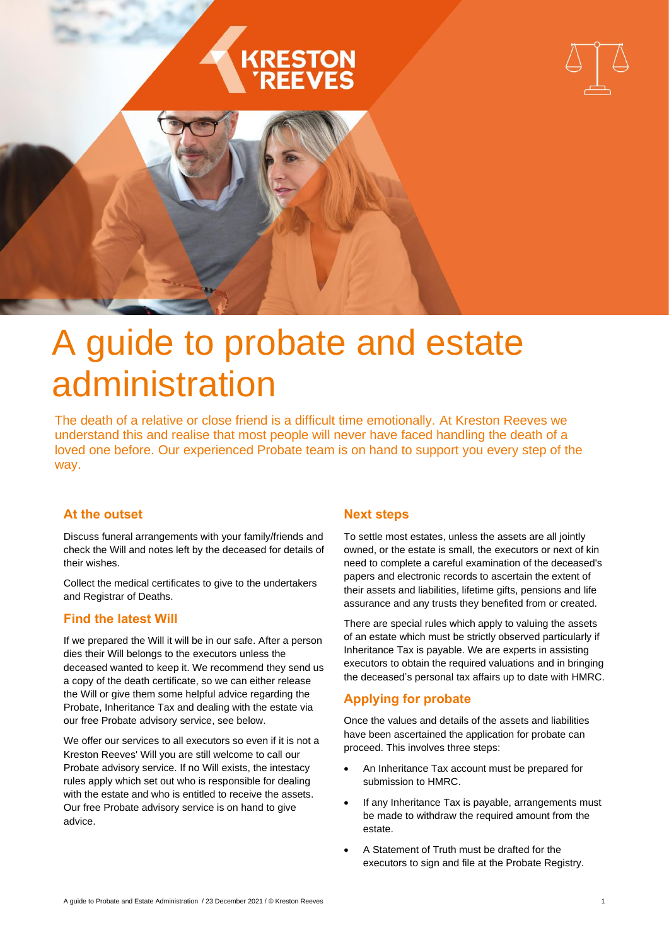





# A guide to probate and estate administration

The death of a relative or close friend is a difficult time emotionally. At Kreston Reeves we understand this and realise that most people will never have faced handling the death of a loved one before. Our experienced Probate team is on hand to support you every step of the way.

# **At the outset**

Discuss funeral arrangements with your family/friends and check the Will and notes left by the deceased for details of their wishes.

Collect the medical certificates to give to the undertakers and Registrar of Deaths.

# **Find the latest Will**

If we prepared the Will it will be in our safe. After a person dies their Will belongs to the executors unless the deceased wanted to keep it. We recommend they send us a copy of the death certificate, so we can either release the Will or give them some helpful advice regarding the Probate, Inheritance Tax and dealing with the estate via our free Probate advisory service, see below.

We offer our services to all executors so even if it is not a Kreston Reeves' Will you are still welcome to call our Probate advisory service. If no Will exists, the intestacy rules apply which set out who is responsible for dealing with the estate and who is entitled to receive the assets. Our free Probate advisory service is on hand to give advice.

## **Next steps**

To settle most estates, unless the assets are all jointly owned, or the estate is small, the executors or next of kin need to complete a careful examination of the deceased's papers and electronic records to ascertain the extent of their assets and liabilities, lifetime gifts, pensions and life assurance and any trusts they benefited from or created.

There are special rules which apply to valuing the assets of an estate which must be strictly observed particularly if Inheritance Tax is payable. We are experts in assisting executors to obtain the required valuations and in bringing the deceased's personal tax affairs up to date with HMRC.

# **Applying for probate**

Once the values and details of the assets and liabilities have been ascertained the application for probate can proceed. This involves three steps:

- An Inheritance Tax account must be prepared for submission to HMRC.
- If any Inheritance Tax is payable, arrangements must be made to withdraw the required amount from the estate.
- A Statement of Truth must be drafted for the executors to sign and file at the Probate Registry.